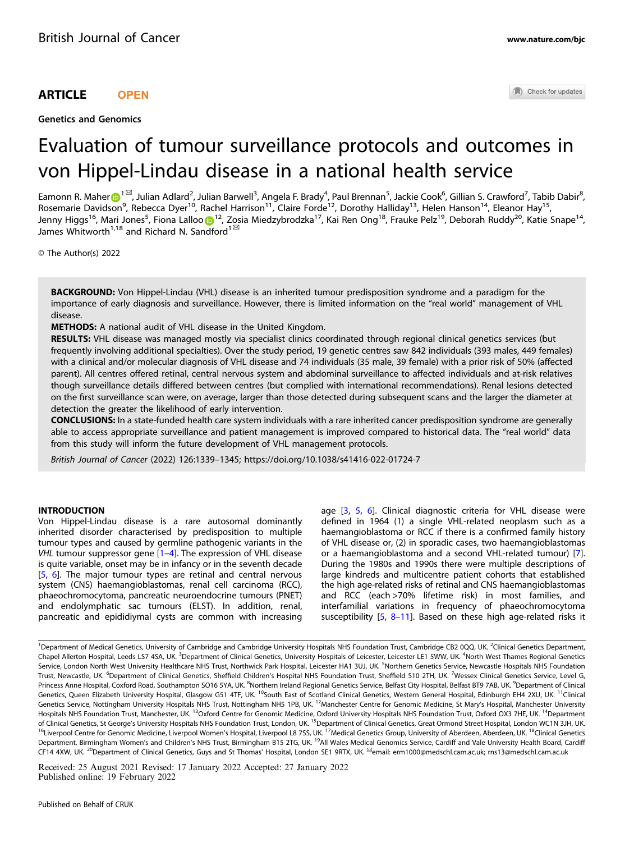## ARTICLE **OPEN**

Genetics and Genomics

Check for updates

# Evaluation of tumour surveillance protocols and outcomes in von Hippel-Lindau disease in a national health service

Eamonn R. Mahe[r](http://orcid.org/0000-0002-6226-6918) $\odot$ [1](http://orcid.org/0000-0002-6226-6918) $^{\boxtimes}$ , Julian Adlard $^2$ , Julian Barwell $^3$ , Angela F. Brady $^4$ , Paul Brennan $^5$ , Jackie Cook $^6$ , Gillian S. Crawford $^7$ , Tabib Dabir $^8$ , Rosemarie Davidson<sup>9</sup>, Rebecca Dyer<sup>10</sup>, Rachel Harrison<sup>11</sup>, Claire Forde<sup>12</sup>, Dorothy Halliday<sup>13</sup>, Helen Hanson<sup>14</sup>, Eleanor Hay<sup>15</sup>, Jenny Higgs<sup>16</sup>, Mari J[o](http://orcid.org/0000-0002-0612-8377)nes<sup>5</sup>, Fiona Lalloo D<sup>[1](http://orcid.org/0000-0002-0612-8377)2</sup>, Zosia Miedzybrodzka<sup>17</sup>, Kai Ren Ong<sup>18</sup>, Frauke Pelz<sup>19</sup>, Deborah Ruddy<sup>20</sup>, Katie Snape<sup>14</sup>, James Whitworth<sup>1,18</sup> and Richard N. Sandford<sup>1 $\text{ }^{\text{ }^\text{}}$ </sup>

© The Author(s) 2022

BACKGROUND: Von Hippel-Lindau (VHL) disease is an inherited tumour predisposition syndrome and a paradigm for the importance of early diagnosis and surveillance. However, there is limited information on the "real world" management of VHL disease.

METHODS: A national audit of VHL disease in the United Kingdom.

RESULTS: VHL disease was managed mostly via specialist clinics coordinated through regional clinical genetics services (but frequently involving additional specialties). Over the study period, 19 genetic centres saw 842 individuals (393 males, 449 females) with a clinical and/or molecular diagnosis of VHL disease and 74 individuals (35 male, 39 female) with a prior risk of 50% (affected parent). All centres offered retinal, central nervous system and abdominal surveillance to affected individuals and at-risk relatives though surveillance details differed between centres (but complied with international recommendations). Renal lesions detected on the first surveillance scan were, on average, larger than those detected during subsequent scans and the larger the diameter at detection the greater the likelihood of early intervention.

CONCLUSIONS: In a state-funded health care system individuals with a rare inherited cancer predisposition syndrome are generally able to access appropriate surveillance and patient management is improved compared to historical data. The "real world" data from this study will inform the future development of VHL management protocols.

British Journal of Cancer (2022) 126:1339–1345;<https://doi.org/10.1038/s41416-022-01724-7>

## **INTRODUCTION**

Von Hippel-Lindau disease is a rare autosomal dominantly inherited disorder characterised by predisposition to multiple tumour types and caused by germline pathogenic variants in the VHL tumour suppressor gene [[1](#page-4-0)–[4\]](#page-5-0). The expression of VHL disease is quite variable, onset may be in infancy or in the seventh decade [\[5,](#page-5-0) [6\]](#page-5-0). The major tumour types are retinal and central nervous system (CNS) haemangioblastomas, renal cell carcinoma (RCC), phaeochromocytoma, pancreatic neuroendocrine tumours (PNET) and endolymphatic sac tumours (ELST). In addition, renal, pancreatic and epididiymal cysts are common with increasing age [[3,](#page-5-0) [5,](#page-5-0) [6\]](#page-5-0). Clinical diagnostic criteria for VHL disease were defined in 1964 (1) a single VHL-related neoplasm such as a haemangioblastoma or RCC if there is a confirmed family history of VHL disease or, (2) in sporadic cases, two haemangioblastomas or a haemangioblastoma and a second VHL-related tumour) [\[7\]](#page-5-0). During the 1980s and 1990s there were multiple descriptions of large kindreds and multicentre patient cohorts that established the high age-related risks of retinal and CNS haemangioblastomas and RCC (each >70% lifetime risk) in most families, and interfamilial variations in frequency of phaeochromocytoma susceptibility [\[5,](#page-5-0) [8](#page-5-0)–[11](#page-5-0)]. Based on these high age-related risks it

Received: 25 August 2021 Revised: 17 January 2022 Accepted: 27 January 2022 Published online: 19 February 2022

<sup>&</sup>lt;sup>1</sup>Department of Medical Genetics, University of Cambridge and Cambridge University Hospitals NHS Foundation Trust, Cambridge CB2 0QQ, UK. <sup>2</sup>Clinical Genetics Department, Chapel Allerton Hospital, Leeds LS7 4SA, UK. <sup>3</sup>Department of Clinical Genetics, University Hospitals of Leicester, Leicester LE1 5WW, UK. <sup>4</sup>North West Thames Regional Genetics Service, London North West University Healthcare NHS Trust, Northwick Park Hospital, Leicester HA1 3UJ, UK. <sup>5</sup>Northern Genetics Service, Newcastle Hospitals NHS Foundation Trust, Newcastle, UK. <sup>6</sup>Department of Clinical Genetics, Sheffield Children's Hospital NHS Foundation Trust, Sheffield S10 2TH, UK. <sup>7</sup>Wessex Clinical Genetics Service, Level G, Princess Anne Hospital, Coxford Road, Southampton SO16 5YA, UK. <sup>8</sup>Northern Ireland Regional Genetics Service, Belfast City Hospital, Belfast BT9 7AB, UK. <sup>9</sup>Department of Clinical Genetics, Queen Elizabeth University Hospital, Glasgow G51 4TF, UK. <sup>10</sup>South East of Scotland Clinical Genetics, Western General Hospital, Edinburgh EH4 2XU, UK. <sup>11</sup>Clinical Genetics Service, Nottingham University Hospitals NHS Trust, Nottingham NH5 1PB, UK. <sup>12</sup>Manchester Centre for Genomic Medicine, St Mary's Hospital, Manchester University Hospitals NHS Foundation Trust, Manchester, UK. <sup>13</sup>Oxford Centre for Genomic Medicine, Oxford University Hospitals NHS Foundation Trust, Oxford OX3 7HE, UK. <sup>14</sup>Department of Clinical Genetics, St George's University Hospitals NHS Foundation Trust, London, UK. <sup>15</sup>Department of Clinical Genetics, Great Ormond Street Hospital, London WC1N 3JH, UK. <sup>16</sup>Liverpool Centre for Genomic Medicine, Liverpool Women's Hospital, Liverpool L8 7SS, UK.<sup>17</sup>Medical Genetics Group, University of Aberdeen, Aberdeen, UK.<sup>18</sup>Clinical Genetics Department, Birmingham Women's and Children's NHS Trust, Birmingham B15 2TG, UK. <sup>19</sup>All Wales Medical Genomics Service, Cardiff and Vale University Health Board, Cardiff CF14 4XW, UK. <sup>20</sup>Department of Clinical Genetics, Guys and St Thomas' Hospital, London SE1 9RTX, UK. <sup>⊠</sup>email: [erm1000@medschl.cam.ac.uk;](mailto:erm1000@medschl.cam.ac.uk) [rns13@medschl.cam.ac.uk](mailto:rns13@medschl.cam.ac.uk)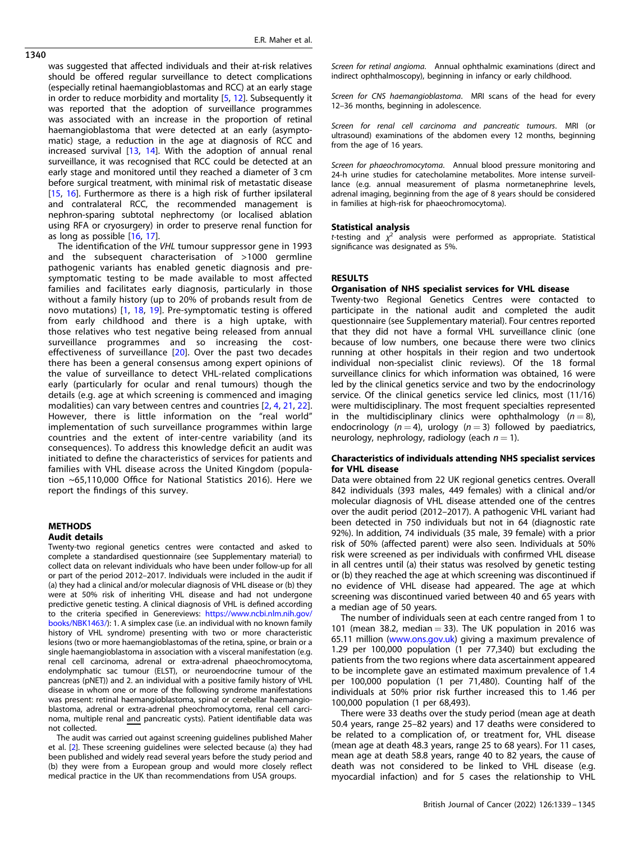1340

was suggested that affected individuals and their at-risk relatives should be offered regular surveillance to detect complications (especially retinal haemangioblastomas and RCC) at an early stage in order to reduce morbidity and mortality [\[5,](#page-5-0) [12](#page-5-0)]. Subsequently it was reported that the adoption of surveillance programmes was associated with an increase in the proportion of retinal haemangioblastoma that were detected at an early (asymptomatic) stage, a reduction in the age at diagnosis of RCC and increased survival [\[13](#page-5-0), [14\]](#page-5-0). With the adoption of annual renal surveillance, it was recognised that RCC could be detected at an early stage and monitored until they reached a diameter of 3 cm before surgical treatment, with minimal risk of metastatic disease [[15,](#page-5-0) [16](#page-5-0)]. Furthermore as there is a high risk of further ipsilateral and contralateral RCC, the recommended management is nephron-sparing subtotal nephrectomy (or localised ablation using RFA or cryosurgery) in order to preserve renal function for as long as possible [[16](#page-5-0), [17\]](#page-5-0).

The identification of the VHL tumour suppressor gene in 1993 and the subsequent characterisation of >1000 germline pathogenic variants has enabled genetic diagnosis and presymptomatic testing to be made available to most affected families and facilitates early diagnosis, particularly in those without a family history (up to 20% of probands result from de novo mutations) [[1](#page-4-0), [18](#page-5-0), [19\]](#page-5-0). Pre-symptomatic testing is offered from early childhood and there is a high uptake, with those relatives who test negative being released from annual surveillance programmes and so increasing the cost-effectiveness of surveillance [\[20\]](#page-5-0). Over the past two decades there has been a general consensus among expert opinions of the value of surveillance to detect VHL-related complications early (particularly for ocular and renal tumours) though the details (e.g. age at which screening is commenced and imaging modalities) can vary between centres and countries [\[2](#page-4-0), [4,](#page-5-0) [21](#page-5-0), [22\]](#page-5-0). However, there is little information on the "real world" implementation of such surveillance programmes within large countries and the extent of inter-centre variability (and its consequences). To address this knowledge deficit an audit was initiated to define the characteristics of services for patients and families with VHL disease across the United Kingdom (population ~65,110,000 Office for National Statistics 2016). Here we report the findings of this survey.

## METHODS Audit details

Twenty-two regional genetics centres were contacted and asked to complete a standardised questionnaire (see Supplementary material) to collect data on relevant individuals who have been under follow-up for all or part of the period 2012–2017. Individuals were included in the audit if (a) they had a clinical and/or molecular diagnosis of VHL disease or (b) they were at 50% risk of inheriting VHL disease and had not undergone predictive genetic testing. A clinical diagnosis of VHL is defined according to the criteria specified in Genereviews: [https://www.ncbi.nlm.nih.gov/](https://www.ncbi.nlm.nih.gov/books/NBK1463/) [books/NBK1463/\)](https://www.ncbi.nlm.nih.gov/books/NBK1463/): 1. A simplex case (i.e. an individual with no known family history of VHL syndrome) presenting with two or more characteristic lesions (two or more haemangioblastomas of the retina, spine, or brain or a single haemangioblastoma in association with a visceral manifestation (e.g. renal cell carcinoma, adrenal or extra-adrenal phaeochromocytoma, endolymphatic sac tumour (ELST), or neuroendocrine tumour of the pancreas (pNET)) and 2. an individual with a positive family history of VHL disease in whom one or more of the following syndrome manifestations was present: retinal haemangioblastoma, spinal or cerebellar haemangioblastoma, adrenal or extra-adrenal pheochromocytoma, renal cell carcinoma, multiple renal and pancreatic cysts). Patient identifiable data was not collected.

The audit was carried out against screening guidelines published Maher et al. [\[2](#page-4-0)]. These screening guidelines were selected because (a) they had been published and widely read several years before the study period and (b) they were from a European group and would more closely reflect medical practice in the UK than recommendations from USA groups.

Screen for retinal angioma. Annual ophthalmic examinations (direct and indirect ophthalmoscopy), beginning in infancy or early childhood.

Screen for CNS haemangioblastoma. MRI scans of the head for every 12–36 months, beginning in adolescence.

Screen for renal cell carcinoma and pancreatic tumours. MRI (or ultrasound) examinations of the abdomen every 12 months, beginning from the age of 16 years.

Screen for phaeochromocytoma. Annual blood pressure monitoring and 24-h urine studies for catecholamine metabolites. More intense surveillance (e.g. annual measurement of plasma normetanephrine levels, adrenal imaging, beginning from the age of 8 years should be considered in families at high-risk for phaeochromocytoma).

#### Statistical analysis

*t*-testing and  $\chi^2$  analysis were performed as appropriate. Statistical significance was designated as 5%.

## RESULTS

## Organisation of NHS specialist services for VHL disease

Twenty-two Regional Genetics Centres were contacted to participate in the national audit and completed the audit questionnaire (see Supplementary material). Four centres reported that they did not have a formal VHL surveillance clinic (one because of low numbers, one because there were two clinics running at other hospitals in their region and two undertook individual non-specialist clinic reviews). Of the 18 formal surveillance clinics for which information was obtained, 16 were led by the clinical genetics service and two by the endocrinology service. Of the clinical genetics service led clinics, most (11/16) were multidisciplinary. The most frequent specialties represented in the multidisciplinary clinics were ophthalmology  $(n = 8)$ , endocrinology  $(n = 4)$ , urology  $(n = 3)$  followed by paediatrics, neurology, nephrology, radiology (each  $n = 1$ ).

## Characteristics of individuals attending NHS specialist services for VHL disease

Data were obtained from 22 UK regional genetics centres. Overall 842 individuals (393 males, 449 females) with a clinical and/or molecular diagnosis of VHL disease attended one of the centres over the audit period (2012–2017). A pathogenic VHL variant had been detected in 750 individuals but not in 64 (diagnostic rate 92%). In addition, 74 individuals (35 male, 39 female) with a prior risk of 50% (affected parent) were also seen. Individuals at 50% risk were screened as per individuals with confirmed VHL disease in all centres until (a) their status was resolved by genetic testing or (b) they reached the age at which screening was discontinued if no evidence of VHL disease had appeared. The age at which screening was discontinued varied between 40 and 65 years with a median age of 50 years.

The number of individuals seen at each centre ranged from 1 to 101 (mean 38.2, median  $=$  33). The UK population in 2016 was 65.11 million ([www.ons.gov.uk](http://www.ons.gov.uk)) giving a maximum prevalence of 1.29 per 100,000 population (1 per 77,340) but excluding the patients from the two regions where data ascertainment appeared to be incomplete gave an estimated maximum prevalence of 1.4 per 100,000 population (1 per 71,480). Counting half of the individuals at 50% prior risk further increased this to 1.46 per 100,000 population (1 per 68,493).

There were 33 deaths over the study period (mean age at death 50.4 years, range 25–82 years) and 17 deaths were considered to be related to a complication of, or treatment for, VHL disease (mean age at death 48.3 years, range 25 to 68 years). For 11 cases, mean age at death 58.8 years, range 40 to 82 years, the cause of death was not considered to be linked to VHL disease (e.g. myocardial infaction) and for 5 cases the relationship to VHL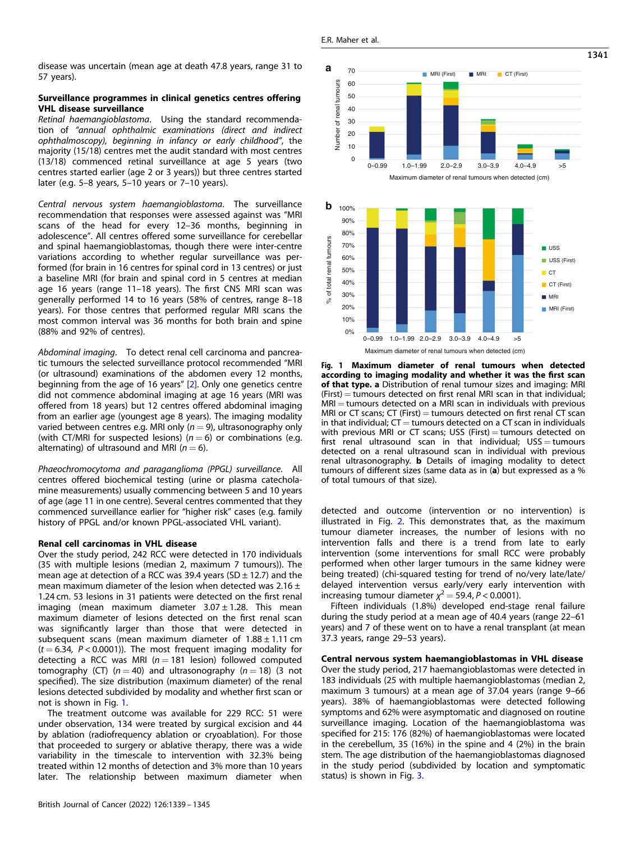Number of renal tumours

sunours renal t  $\overline{5}$ Number

 $\Omega$ 10

## <span id="page-2-0"></span>Surveillance programmes in clinical genetics centres offering VHL disease surveillance

Retinal haemangioblastoma. Using the standard recommendation of "annual ophthalmic examinations (direct and indirect ophthalmoscopy), beginning in infancy or early childhood", the majority (15/18) centres met the audit standard with most centres (13/18) commenced retinal surveillance at age 5 years (two centres started earlier (age 2 or 3 years)) but three centres started later (e.g. 5–8 years, 5–10 years or 7–10 years).

Central nervous system haemangioblastoma. The surveillance recommendation that responses were assessed against was "MRI scans of the head for every 12–36 months, beginning in adolescence". All centres offered some surveillance for cerebellar and spinal haemangioblastomas, though there were inter-centre variations according to whether regular surveillance was performed (for brain in 16 centres for spinal cord in 13 centres) or just a baseline MRI (for brain and spinal cord in 5 centres at median age 16 years (range 11–18 years). The first CNS MRI scan was generally performed 14 to 16 years (58% of centres, range 8–18 years). For those centres that performed regular MRI scans the most common interval was 36 months for both brain and spine (88% and 92% of centres).

Abdominal imaging. To detect renal cell carcinoma and pancreatic tumours the selected surveillance protocol recommended "MRI (or ultrasound) examinations of the abdomen every 12 months, beginning from the age of 16 years" [\[2\]](#page-4-0). Only one genetics centre did not commence abdominal imaging at age 16 years (MRI was offered from 18 years) but 12 centres offered abdominal imaging from an earlier age (youngest age 8 years). The imaging modality varied between centres e.g. MRI only ( $n = 9$ ), ultrasonography only (with CT/MRI for suspected lesions) ( $n = 6$ ) or combinations (e.g. alternating) of ultrasound and MRI ( $n = 6$ ).

Phaeochromocytoma and paraganglioma (PPGL) surveillance. All centres offered biochemical testing (urine or plasma catecholamine measurements) usually commencing between 5 and 10 years of age (age 11 in one centre). Several centres commented that they commenced surveillance earlier for "higher risk" cases (e.g. family history of PPGL and/or known PPGL-associated VHL variant).

#### Renal cell carcinomas in VHL disease

Over the study period, 242 RCC were detected in 170 individuals (35 with multiple lesions (median 2, maximum 7 tumours)). The mean age at detection of a RCC was 39.4 years (SD  $\pm$  12.7) and the mean maximum diameter of the lesion when detected was  $2.16 \pm$ 1.24 cm. 53 lesions in 31 patients were detected on the first renal imaging (mean maximum diameter  $3.07 \pm 1.28$ . This mean maximum diameter of lesions detected on the first renal scan was significantly larger than those that were detected in subsequent scans (mean maximum diameter of  $1.88 \pm 1.11$  cm  $(t = 6.34, P < 0.0001)$ ). The most frequent imaging modality for detecting a RCC was MRI ( $n = 181$  lesion) followed computed tomography (CT) ( $n = 40$ ) and ultrasonography ( $n = 18$ ) (3 not specified). The size distribution (maximum diameter) of the renal lesions detected subdivided by modality and whether first scan or not is shown in Fig. 1.

The treatment outcome was available for 229 RCC: 51 were under observation, 134 were treated by surgical excision and 44 by ablation (radiofrequency ablation or cryoablation). For those that proceeded to surgery or ablative therapy, there was a wide variability in the timescale to intervention with 32.3% being treated within 12 months of detection and 3% more than 10 years later. The relationship between maximum diameter when





Fig. 1 Maximum diameter of renal tumours when detected according to imaging modality and whether it was the first scan of that type. a Distribution of renal tumour sizes and imaging: MRI  $(First) =$  tumours detected on first renal MRI scan in that individual;  $MRI =$  tumours detected on a MRI scan in individuals with previous MRI or CT scans; CT (First)  $=$  tumours detected on first renal CT scan in that individual;  $CT =$  tumours detected on a  $CT$  scan in individuals with previous MRI or CT scans; USS (First)  $=$  tumours detected on first renal ultrasound scan in that individual;  $USS =$  tumours detected on a renal ultrasound scan in individual with previous renal ultrasonography. b Details of imaging modality to detect tumours of different sizes (same data as in (a) but expressed as a % of total tumours of that size).

detected and outcome (intervention or no intervention) is illustrated in Fig. [2](#page-3-0). This demonstrates that, as the maximum tumour diameter increases, the number of lesions with no intervention falls and there is a trend from late to early intervention (some interventions for small RCC were probably performed when other larger tumours in the same kidney were being treated) (chi-squared testing for trend of no/very late/late/ delayed intervention versus early/very early intervention with increasing tumour diameter  $\chi^2 = 59.4$ ,  $P < 0.0001$ ).

Fifteen individuals (1.8%) developed end-stage renal failure during the study period at a mean age of 40.4 years (range 22–61 years) and 7 of these went on to have a renal transplant (at mean 37.3 years, range 29–53 years).

Central nervous system haemangioblastomas in VHL disease Over the study period, 217 haemangioblastomas were detected in 183 individuals (25 with multiple haemangioblastomas (median 2, maximum 3 tumours) at a mean age of 37.04 years (range 9–66 years). 38% of haemangioblastomas were detected following symptoms and 62% were asymptomatic and diagnosed on routine surveillance imaging. Location of the haemangioblastoma was specified for 215: 176 (82%) of haemangioblastomas were located in the cerebellum, 35 (16%) in the spine and 4 (2%) in the brain stem. The age distribution of the haemangioblastomas diagnosed in the study period (subdivided by location and symptomatic status) is shown in Fig. [3](#page-3-0).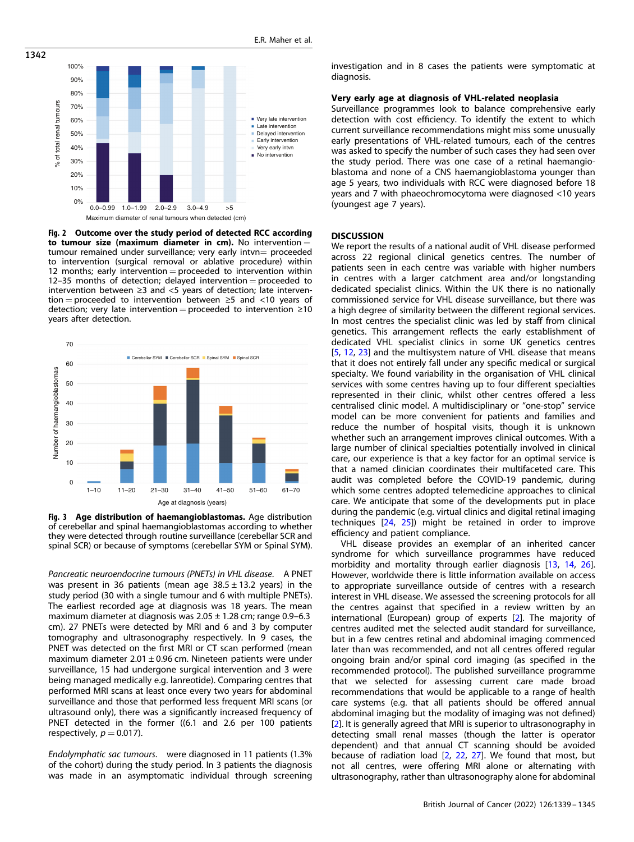<span id="page-3-0"></span>

Fig. 2 Outcome over the study period of detected RCC according to tumour size (maximum diameter in cm). No intervention  $=$ tumour remained under surveillance; very early intvn= proceeded to intervention (surgical removal or ablative procedure) within 12 months; early intervention = proceeded to intervention within 12–35 months of detection; delayed intervention  $=$  proceeded to intervention between ≥3 and <5 years of detection; late intervention = proceeded to intervention between  $\geq$ 5 and <10 years of detection; very late intervention = proceeded to intervention  $\geq 10$ years after detection.



Fig. 3 Age distribution of haemangioblastomas. Age distribution of cerebellar and spinal haemangioblastomas according to whether they were detected through routine surveillance (cerebellar SCR and spinal SCR) or because of symptoms (cerebellar SYM or Spinal SYM).

Pancreatic neuroendocrine tumours (PNETs) in VHL disease. A PNET was present in 36 patients (mean age  $38.5 \pm 13.2$  years) in the study period (30 with a single tumour and 6 with multiple PNETs). The earliest recorded age at diagnosis was 18 years. The mean maximum diameter at diagnosis was  $2.05 \pm 1.28$  cm; range 0.9–6.3 cm). 27 PNETs were detected by MRI and 6 and 3 by computer tomography and ultrasonography respectively. In 9 cases, the PNET was detected on the first MRI or CT scan performed (mean maximum diameter  $2.01 \pm 0.96$  cm. Nineteen patients were under surveillance, 15 had undergone surgical intervention and 3 were being managed medically e.g. lanreotide). Comparing centres that performed MRI scans at least once every two years for abdominal surveillance and those that performed less frequent MRI scans (or ultrasound only), there was a significantly increased frequency of PNET detected in the former ((6.1 and 2.6 per 100 patients respectively,  $p = 0.017$ ).

Endolymphatic sac tumours. were diagnosed in 11 patients (1.3% of the cohort) during the study period. In 3 patients the diagnosis was made in an asymptomatic individual through screening investigation and in 8 cases the patients were symptomatic at diagnosis.

## Very early age at diagnosis of VHL-related neoplasia

Surveillance programmes look to balance comprehensive early detection with cost efficiency. To identify the extent to which current surveillance recommendations might miss some unusually early presentations of VHL-related tumours, each of the centres was asked to specify the number of such cases they had seen over the study period. There was one case of a retinal haemangioblastoma and none of a CNS haemangioblastoma younger than age 5 years, two individuals with RCC were diagnosed before 18 years and 7 with phaeochromocytoma were diagnosed <10 years (youngest age 7 years).

#### **DISCUSSION**

We report the results of a national audit of VHL disease performed across 22 regional clinical genetics centres. The number of patients seen in each centre was variable with higher numbers in centres with a larger catchment area and/or longstanding dedicated specialist clinics. Within the UK there is no nationally commissioned service for VHL disease surveillance, but there was a high degree of similarity between the different regional services. In most centres the specialist clinic was led by staff from clinical genetics. This arrangement reflects the early establishment of dedicated VHL specialist clinics in some UK genetics centres [[5](#page-5-0), [12](#page-5-0), [23\]](#page-5-0) and the multisystem nature of VHL disease that means that it does not entirely fall under any specific medical or surgical specialty. We found variability in the organisation of VHL clinical services with some centres having up to four different specialties represented in their clinic, whilst other centres offered a less centralised clinic model. A multidisciplinary or "one-stop" service model can be more convenient for patients and families and reduce the number of hospital visits, though it is unknown whether such an arrangement improves clinical outcomes. With a large number of clinical specialties potentially involved in clinical care, our experience is that a key factor for an optimal service is that a named clinician coordinates their multifaceted care. This audit was completed before the COVID-19 pandemic, during which some centres adopted telemedicine approaches to clinical care. We anticipate that some of the developments put in place during the pandemic (e.g. virtual clinics and digital retinal imaging techniques [[24,](#page-5-0) [25](#page-5-0)]) might be retained in order to improve efficiency and patient compliance.

VHL disease provides an exemplar of an inherited cancer syndrome for which surveillance programmes have reduced morbidity and mortality through earlier diagnosis [[13](#page-5-0), [14,](#page-5-0) [26](#page-5-0)]. However, worldwide there is little information available on access to appropriate surveillance outside of centres with a research interest in VHL disease. We assessed the screening protocols for all the centres against that specified in a review written by an international (European) group of experts [[2\]](#page-4-0). The majority of centres audited met the selected audit standard for surveillance, but in a few centres retinal and abdominal imaging commenced later than was recommended, and not all centres offered regular ongoing brain and/or spinal cord imaging (as specified in the recommended protocol). The published surveillance programme that we selected for assessing current care made broad recommendations that would be applicable to a range of health care systems (e.g. that all patients should be offered annual abdominal imaging but the modality of imaging was not defined) [[2](#page-4-0)]. It is generally agreed that MRI is superior to ultrasonography in detecting small renal masses (though the latter is operator dependent) and that annual CT scanning should be avoided because of radiation load [[2](#page-4-0), [22](#page-5-0), [27](#page-5-0)]. We found that most, but not all centres, were offering MRI alone or alternating with ultrasonography, rather than ultrasonography alone for abdominal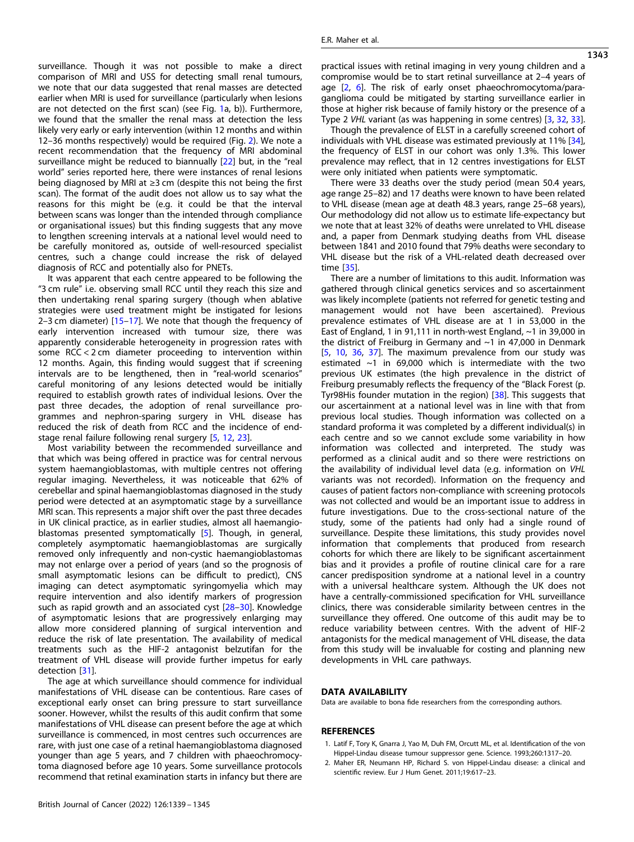<span id="page-4-0"></span>surveillance. Though it was not possible to make a direct comparison of MRI and USS for detecting small renal tumours, we note that our data suggested that renal masses are detected earlier when MRI is used for surveillance (particularly when lesions are not detected on the first scan) (see Fig. [1a](#page-2-0), b)). Furthermore, we found that the smaller the renal mass at detection the less likely very early or early intervention (within 12 months and within 12–36 months respectively) would be required (Fig. [2\)](#page-3-0). We note a recent recommendation that the frequency of MRI abdominal surveillance might be reduced to biannually [[22\]](#page-5-0) but, in the "real world" series reported here, there were instances of renal lesions being diagnosed by MRI at ≥3 cm (despite this not being the first scan). The format of the audit does not allow us to say what the reasons for this might be (e.g. it could be that the interval between scans was longer than the intended through compliance or organisational issues) but this finding suggests that any move to lengthen screening intervals at a national level would need to be carefully monitored as, outside of well-resourced specialist centres, such a change could increase the risk of delayed diagnosis of RCC and potentially also for PNETs.

It was apparent that each centre appeared to be following the "3 cm rule" i.e. observing small RCC until they reach this size and then undertaking renal sparing surgery (though when ablative strategies were used treatment might be instigated for lesions 2–3 cm diameter) [\[15](#page-5-0)–[17](#page-5-0)]. We note that though the frequency of early intervention increased with tumour size, there was apparently considerable heterogeneity in progression rates with some RCC < 2 cm diameter proceeding to intervention within 12 months. Again, this finding would suggest that if screening intervals are to be lengthened, then in "real-world scenarios" careful monitoring of any lesions detected would be initially required to establish growth rates of individual lesions. Over the past three decades, the adoption of renal surveillance programmes and nephron-sparing surgery in VHL disease has reduced the risk of death from RCC and the incidence of endstage renal failure following renal surgery [[5](#page-5-0), [12](#page-5-0), [23](#page-5-0)].

Most variability between the recommended surveillance and that which was being offered in practice was for central nervous system haemangioblastomas, with multiple centres not offering regular imaging. Nevertheless, it was noticeable that 62% of cerebellar and spinal haemangioblastomas diagnosed in the study period were detected at an asymptomatic stage by a surveillance MRI scan. This represents a major shift over the past three decades in UK clinical practice, as in earlier studies, almost all haemangioblastomas presented symptomatically [[5](#page-5-0)]. Though, in general, completely asymptomatic haemangioblastomas are surgically removed only infrequently and non-cystic haemangioblastomas may not enlarge over a period of years (and so the prognosis of small asymptomatic lesions can be difficult to predict), CNS imaging can detect asymptomatic syringomyelia which may require intervention and also identify markers of progression such as rapid growth and an associated cyst [[28](#page-5-0)-[30](#page-5-0)]. Knowledge of asymptomatic lesions that are progressively enlarging may allow more considered planning of surgical intervention and reduce the risk of late presentation. The availability of medical treatments such as the HIF-2 antagonist belzutifan for the treatment of VHL disease will provide further impetus for early detection [\[31](#page-5-0)].

The age at which surveillance should commence for individual manifestations of VHL disease can be contentious. Rare cases of exceptional early onset can bring pressure to start surveillance sooner. However, whilst the results of this audit confirm that some manifestations of VHL disease can present before the age at which surveillance is commenced, in most centres such occurrences are rare, with just one case of a retinal haemangioblastoma diagnosed younger than age 5 years, and 7 children with phaeochromocytoma diagnosed before age 10 years. Some surveillance protocols recommend that retinal examination starts in infancy but there are

Though the prevalence of ELST in a carefully screened cohort of individuals with VHL disease was estimated previously at 11% [\[34\]](#page-5-0), the frequency of ELST in our cohort was only 1.3%. This lower prevalence may reflect, that in 12 centres investigations for ELST were only initiated when patients were symptomatic.

There were 33 deaths over the study period (mean 50.4 years, age range 25–82) and 17 deaths were known to have been related to VHL disease (mean age at death 48.3 years, range 25–68 years), Our methodology did not allow us to estimate life-expectancy but we note that at least 32% of deaths were unrelated to VHL disease and, a paper from Denmark studying deaths from VHL disease between 1841 and 2010 found that 79% deaths were secondary to VHL disease but the risk of a VHL-related death decreased over time [\[35](#page-5-0)].

There are a number of limitations to this audit. Information was gathered through clinical genetics services and so ascertainment was likely incomplete (patients not referred for genetic testing and management would not have been ascertained). Previous prevalence estimates of VHL disease are at 1 in 53,000 in the East of England, 1 in 91,111 in north-west England, ~1 in 39,000 in the district of Freiburg in Germany and ~1 in 47,000 in Denmark [\[5,](#page-5-0) [10,](#page-5-0) [36,](#page-5-0) [37\]](#page-5-0). The maximum prevalence from our study was estimated  $\sim$ 1 in 69,000 which is intermediate with the two previous UK estimates (the high prevalence in the district of Freiburg presumably reflects the frequency of the "Black Forest (p. Tyr98His founder mutation in the region) [[38\]](#page-5-0). This suggests that our ascertainment at a national level was in line with that from previous local studies. Though information was collected on a standard proforma it was completed by a different individual(s) in each centre and so we cannot exclude some variability in how information was collected and interpreted. The study was performed as a clinical audit and so there were restrictions on the availability of individual level data (e.g. information on VHL variants was not recorded). Information on the frequency and causes of patient factors non-compliance with screening protocols was not collected and would be an important issue to address in future investigations. Due to the cross-sectional nature of the study, some of the patients had only had a single round of surveillance. Despite these limitations, this study provides novel information that complements that produced from research cohorts for which there are likely to be significant ascertainment bias and it provides a profile of routine clinical care for a rare cancer predisposition syndrome at a national level in a country with a universal healthcare system. Although the UK does not have a centrally-commissioned specification for VHL surveillance clinics, there was considerable similarity between centres in the surveillance they offered. One outcome of this audit may be to reduce variability between centres. With the advent of HIF-2 antagonists for the medical management of VHL disease, the data from this study will be invaluable for costing and planning new developments in VHL care pathways.

## DATA AVAILABILITY

Data are available to bona fide researchers from the corresponding authors.

#### **REFERENCES**

- 1. Latif F, Tory K, Gnarra J, Yao M, Duh FM, Orcutt ML, et al. Identification of the von Hippel-Lindau disease tumour suppressor gene. Science. 1993;260:1317–20.
- 2. Maher ER, Neumann HP, Richard S. von Hippel-Lindau disease: a clinical and scientific review. Eur J Hum Genet. 2011;19:617–23.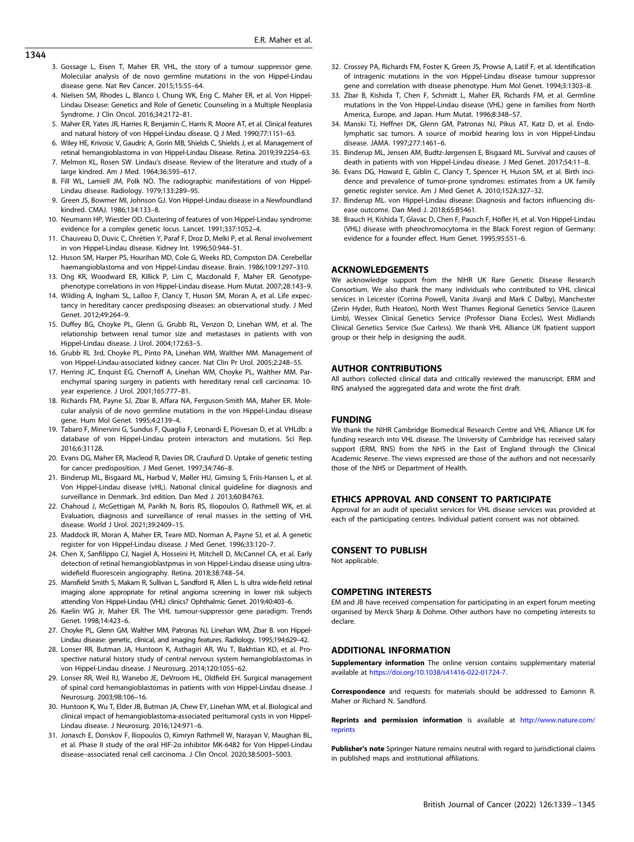- <span id="page-5-0"></span>1344
- 3. Gossage L, Eisen T, Maher ER. VHL, the story of a tumour suppressor gene. Molecular analysis of de novo germline mutations in the von Hippel-Lindau disease gene. Nat Rev Cancer. 2015;15:55–64.
- 4. Nielsen SM, Rhodes L, Blanco I, Chung WK, Eng C, Maher ER, et al. Von Hippel-Lindau Disease: Genetics and Role of Genetic Counseling in a Multiple Neoplasia Syndrome. J Clin Oncol. 2016;34:2172–81.
- 5. Maher ER, Yates JR, Harries R, Benjamin C, Harris R, Moore AT, et al. Clinical features and natural history of von Hippel-Lindau disease. Q J Med. 1990;77:1151–63.
- 6. Wiley HE, Krivosic V, Gaudric A, Gorin MB, Shields C, Shields J, et al. Management of retinal hemangioblastoma in von Hippel-Lindau Disease. Retina. 2019;39:2254–63.
- 7. Melmon KL, Rosen SW. Lindau's disease. Review of the literature and study of a large kindred. Am J Med. 1964;36:595–617.
- 8. Fill WL, Lamiell JM, Polk NO. The radiographic manifestations of von Hippel-Lindau disease. Radiology. 1979;133:289–95.
- 9. Green JS, Bowmer MI, Johnson GJ. Von Hippel-Lindau disease in a Newfoundland kindred. CMAJ. 1986;134:133–8.
- 10. Neumann HP, Wiestler OD. Clustering of features of von Hippel-Lindau syndrome: evidence for a complex genetic locus. Lancet. 1991;337:1052–4.
- 11. Chauveau D, Duvic C, Chrétien Y, Paraf F, Droz D, Melki P, et al. Renal involvement in von Hippel-Lindau disease. Kidney Int. 1996;50:944–51.
- 12. Huson SM, Harper PS, Hourihan MD, Cole G, Weeks RD, Compston DA. Cerebellar haemangioblastoma and von Hippel-Lindau disease. Brain. 1986;109:1297–310.
- 13. Ong KR, Woodward ER, Killick P, Lim C, Macdonald F, Maher ER. Genotypephenotype correlations in von Hippel-Lindau disease. Hum Mutat. 2007;28:143–9.
- 14. Wilding A, Ingham SL, Lalloo F, Clancy T, Huson SM, Moran A, et al. Life expectancy in hereditary cancer predisposing diseases: an observational study. J Med Genet. 2012;49:264–9.
- 15. Duffey BG, Choyke PL, Glenn G, Grubb RL, Venzon D, Linehan WM, et al. The relationship between renal tumor size and metastases in patients with von Hippel-Lindau disease. J Urol. 2004;172:63–5.
- 16. Grubb RL 3rd, Choyke PL, Pinto PA, Linehan WM, Walther MM. Management of von Hippel-Lindau-associated kidney cancer. Nat Clin Pr Urol. 2005;2:248–55.
- 17. Herring JC, Enquist EG, Chernoff A, Linehan WM, Choyke PL, Walther MM. Parenchymal sparing surgery in patients with hereditary renal cell carcinoma: 10 year experience. J Urol. 2001;165:777–81.
- 18. Richards FM, Payne SJ, Zbar B, Affara NA, Ferguson-Smith MA, Maher ER. Molecular analysis of de novo germline mutations in the von Hippel-Lindau disease gene. Hum Mol Genet. 1995;4:2139–4.
- 19. Tabaro F, Minervini G, Sundus F, Quaglia F, Leonardi E, Piovesan D, et al. VHLdb: a database of von Hippel-Lindau protein interactors and mutations. Sci Rep. 2016;6:31128.
- 20. Evans DG, Maher ER, Macleod R, Davies DR, Craufurd D. Uptake of genetic testing for cancer predisposition. J Med Genet. 1997;34:746–8.
- 21. Binderup ML, Bisgaard ML, Harbud V, Møller HU, Gimsing S, Friis-Hansen L, et al. Von Hippel-Lindau disease (vHL). National clinical guideline for diagnosis and surveillance in Denmark. 3rd edition. Dan Med J. 2013;60:B4763.
- 22. Chahoud J, McGettigan M, Parikh N, Boris RS, Iliopoulos O, Rathmell WK, et al. Evaluation, diagnosis and surveillance of renal masses in the setting of VHL disease. World J Urol. 2021;39:2409–15.
- 23. Maddock IR, Moran A, Maher ER, Teare MD, Norman A, Payne SJ, et al. A genetic register for von Hippel-Lindau disease. J Med Genet. 1996;33:120–7.
- 24. Chen X, Sanfilippo CJ, Nagiel A, Hosseini H, Mitchell D, McCannel CA, et al. Early detection of retinal hemangioblastpmas in von Hippel-Lindau disease using ultrawidefield fluorescein angiography. Retina. 2018;38:748–54.
- 25. Mansfield Smith S, Makam R, Sullivan L, Sandford R, Allen L. Is ultra wide-field retinal imaging alone appropriate for retinal angioma screening in lower risk subjects attending Von Hippel-Lindau (VHL) clinics? Ophthalmic Genet. 2019;40:403–6.
- Kaelin WG Jr, Maher ER. The VHL tumour-suppressor gene paradigm. Trends Genet. 1998;14:423–6.
- 27. Choyke PL, Glenn GM, Walther MM, Patronas NJ, Linehan WM, Zbar B. von Hippel-Lindau disease: genetic, clinical, and imaging features. Radiology. 1995;194:629–42.
- 28. Lonser RR, Butman JA, Huntoon K, Asthagiri AR, Wu T, Bakhtian KD, et al. Prospective natural history study of central nervous system hemangioblastomas in von Hippel-Lindau disease. J Neurosurg. 2014;120:1055–62.
- 29. Lonser RR, Weil RJ, Wanebo JE, DeVroom HL, Oldfield EH. Surgical management of spinal cord hemangioblastomas in patients with von Hippel-Lindau disease. J Neurosurg. 2003;98:106–16.
- 30. Huntoon K, Wu T, Elder JB, Butman JA, Chew EY, Linehan WM, et al. Biological and clinical impact of hemangioblastoma-associated peritumoral cysts in von Hippel-Lindau disease. J Neurosurg. 2016;124:971–6.
- 31. Jonasch E, Donskov F, Iliopoulos O, Kimryn Rathmell W, Narayan V, Maughan BL, et al. Phase II study of the oral HIF-2α inhibitor MK-6482 for Von Hippel-Lindau disease–associated renal cell carcinoma. J Clin Oncol. 2020;38:5003–5003.
- 32. Crossey PA, Richards FM, Foster K, Green JS, Prowse A, Latif F, et al. Identification of intragenic mutations in the von Hippel-Lindau disease tumour suppressor gene and correlation with disease phenotype. Hum Mol Genet. 1994;3:1303–8.
- 33. Zbar B, Kishida T, Chen F, Schmidt L, Maher ER, Richards FM, et al. Germline mutations in the Von Hippel-Lindau disease (VHL) gene in families from North America, Europe, and Japan. Hum Mutat. 1996;8:348–57.
- 34. Manski TJ, Heffner DK, Glenn GM, Patronas NJ, Pikus AT, Katz D, et al. Endolymphatic sac tumors. A source of morbid hearing loss in von Hippel-Lindau disease. JAMA. 1997;277:1461–6.
- 35. Binderup ML, Jensen AM, Budtz-Jørgensen E, Bisgaard ML. Survival and causes of death in patients with von Hippel-Lindau disease. J Med Genet. 2017;54:11–8.
- 36. Evans DG, Howard E, Giblin C, Clancy T, Spencer H, Huson SM, et al. Birth incidence and prevalence of tumor-prone syndromes: estimates from a UK family genetic register service. Am J Med Genet A. 2010;152A:327–32.
- 37. Binderup ML. von Hippel-Lindau disease: Diagnosis and factors influencing disease outcome. Dan Med J. 2018;65:B5461.
- 38. Brauch H, Kishida T, Glavac D, Chen F, Pausch F, Höfler H, et al. Von Hippel-Lindau (VHL) disease with pheochromocytoma in the Black Forest region of Germany: evidence for a founder effect. Hum Genet. 1995;95:551–6.

#### ACKNOWLEDGEMENTS

We acknowledge support from the NIHR UK Rare Genetic Disease Research Consortium. We also thank the many individuals who contributed to VHL clinical services in Leicester (Corrina Powell, Vanita Jivanji and Mark C Dalby), Manchester (Zerin Hyder, Ruth Heaton), North West Thames Regional Genetics Service (Lauren Limb), Wessex Clinical Genetics Service (Professor Diana Eccles), West Midlands Clinical Genetics Service (Sue Carless). We thank VHL Alliance UK fpatient support group or their help in designing the audit.

## AUTHOR CONTRIBUTIONS

All authors collected clinical data and critically reviewed the manuscript. ERM and RNS analysed the aggregated data and wrote the first draft.

#### **FUNDING**

We thank the NIHR Cambridge Biomedical Research Centre and VHL Alliance UK for funding research into VHL disease. The University of Cambridge has received salary support (ERM, RNS) from the NHS in the East of England through the Clinical Academic Reserve. The views expressed are those of the authors and not necessarily those of the NHS or Department of Health.

#### ETHICS APPROVAL AND CONSENT TO PARTICIPATE

Approval for an audit of specialist services for VHL disease services was provided at each of the participating centres. Individual patient consent was not obtained.

## CONSENT TO PUBLISH

Not applicable.

#### COMPETING INTERESTS

EM and JB have received compensation for participating in an expert forum meeting organised by Merck Sharp & Dohme. Other authors have no competing interests to declare.

## ADDITIONAL INFORMATION

**Supplementary information** The online version contains supplementary material available at <https://doi.org/10.1038/s41416-022-01724-7>.

Correspondence and requests for materials should be addressed to Eamonn R. Maher or Richard N. Sandford.

Reprints and permission information is available at [http://www.nature.com/](http://www.nature.com/reprints) [reprints](http://www.nature.com/reprints)

Publisher's note Springer Nature remains neutral with regard to jurisdictional claims in published maps and institutional affiliations.